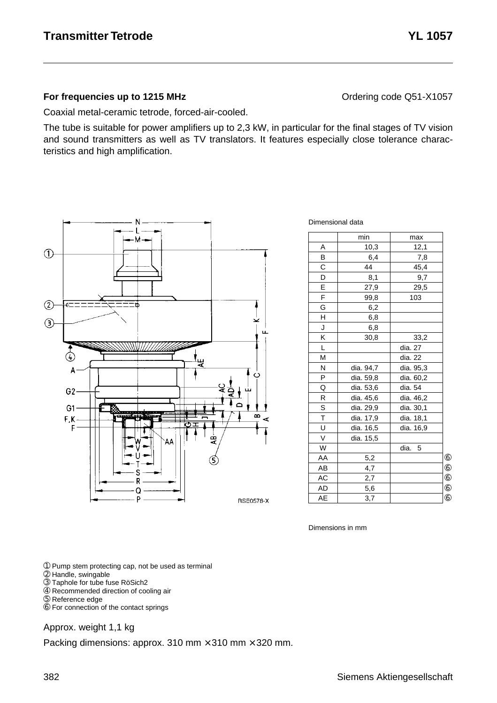#### **For frequencies up to 1215 MHz Contained According Code CONTER Contained According Code Q51-X1057**

Coaxial metal-ceramic tetrode, forced-air-cooled.

The tube is suitable for power amplifiers up to 2,3 kW, in particular for the final stages of TV vision and sound transmitters as well as TV translators. It features especially close tolerance characteristics and high amplification.



Dimensional data

|                         | min       | max       |            |
|-------------------------|-----------|-----------|------------|
| A                       | 10,3      | 12,1      |            |
| B                       | 6,4       | 7,8       |            |
| $\overline{\mathsf{C}}$ | 44        | 45,4      |            |
| D                       | 8,1       | 9,7       |            |
| E                       | 27,9      | 29,5      |            |
| F                       | 99,8      | 103       |            |
| G                       | 6,2       |           |            |
| H                       | 6,8       |           |            |
| J                       | 6,8       |           |            |
| Κ                       | 30,8      | 33,2      |            |
| L                       |           | dia. 27   |            |
| M                       |           | dia. 22   |            |
| N                       | dia. 94,7 | dia. 95,3 |            |
| P                       | dia. 59,8 | dia. 60,2 |            |
| Q                       | dia. 53,6 | dia. 54   |            |
| R                       | dia. 45,6 | dia. 46,2 |            |
| S                       | dia. 29,9 | dia. 30,1 |            |
| $\overline{\mathsf{t}}$ | dia. 17,9 | dia. 18,1 |            |
| U                       | dia. 16,5 | dia. 16,9 |            |
| $\vee$                  | dia. 15,5 |           |            |
| W                       |           | dia.<br>5 |            |
| AA                      | 5,2       |           | $^{\circ}$ |
| AB                      | 4,7       |           | $^{\circ}$ |
| AC                      | 2,7       |           | $^{\circ}$ |
| <b>AD</b>               | 5,6       |           | $^{\circ}$ |
| AE                      | 3,7       |           | (6)        |

Dimensions in mm

➀ Pump stem protecting cap, not be used as terminal

- ➁ Handle, swingable
- ➂ Taphole for tube fuse RöSich2
- ➃ Recommended direction of cooling air
- ➄ Reference edge
- ➅ For connection of the contact springs

#### Approx. weight 1,1 kg

Packing dimensions: approx. 310 mm  $\times$  310 mm  $\times$  320 mm.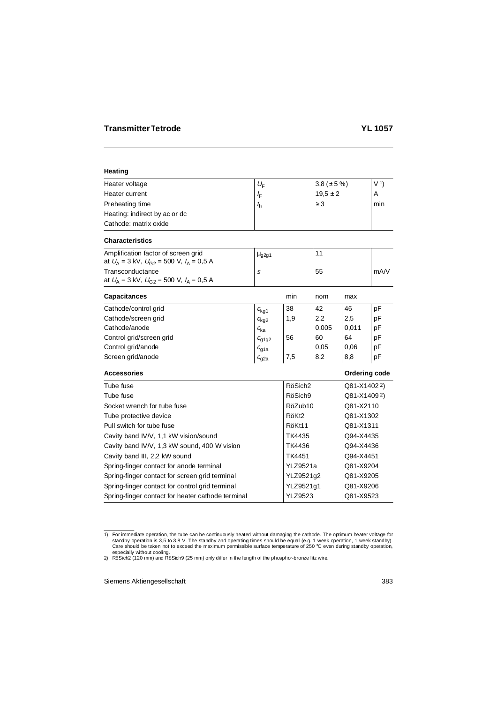# **Heating**

| Heater voltage                | $U_{\rm F}$ | 3,8 ( $\pm$ 5 %) | V <sub>1</sub> |
|-------------------------------|-------------|------------------|----------------|
| Heater current                | ≀F          | $19.5 \pm 2$     | A              |
| Preheating time               | $t_{\rm h}$ | $\geq$ 3         | min            |
| Heating: indirect by ac or dc |             |                  |                |
| Cathode: matrix oxide         |             |                  |                |

## **Characteristics**

| Amplification factor of screen grid<br>at $U_{\rm A} = 3$ kV, $U_{\rm C2} = 500$ V, $I_{\rm A} = 0.5$ A | $\mu$ <sub>g2g1</sub> |    |      |
|---------------------------------------------------------------------------------------------------------|-----------------------|----|------|
| Transconductance<br>at $U_{\rm A} = 3$ kV, $U_{\rm G2} = 500$ V, $I_{\rm A} = 0.5$ A                    |                       | 55 | mA/V |

| <b>Capacitances</b>      |                  | min | nom   | max   |    |
|--------------------------|------------------|-----|-------|-------|----|
| Cathode/control grid     | $c_{\text{kq1}}$ | 38  | 42    | 46    | pF |
| Cathode/screen grid      | $c_{\text{kq2}}$ | 1,9 | 2,2   | 2,5   | рF |
| Cathode/anode            | $c_{\rm ka}$     |     | 0,005 | 0,011 | рF |
| Control grid/screen grid | $c_{q1q2}$       | 56  | 60    | 64    | рF |
| Control grid/anode       | $c_{q1a}$        |     | 0,05  | 0,06  | рF |
| Screen grid/anode        | $c_{\rm g2a}$    | 7,5 | 8,2   | 8,8   | pF |

#### **Accessories Contract Contract Contract Contract Contract Contract Contract Contract Contract Contract Contract Contract Contract Contract Contract Contract Contract Contract Contract Contract Contract Contract Contract Co**

| Tube fuse                                         | RöSich <sub>2</sub> | Q81-X14022) |
|---------------------------------------------------|---------------------|-------------|
| Tube fuse                                         | RöSich9             | Q81-X14092) |
| Socket wrench for tube fuse                       | RöZub10             | Q81-X2110   |
| Tube protective device                            | RöKt <sub>2</sub>   | Q81-X1302   |
| Pull switch for tube fuse                         | RöKt11              | Q81-X1311   |
| Cavity band IV/V, 1,1 kW vision/sound             | TK4435              | Q94-X4435   |
| Cavity band IV/V, 1,3 kW sound, 400 W vision      | TK4436              | Q94-X4436   |
| Cavity band III, 2,2 kW sound                     | TK4451              | Q94-X4451   |
| Spring-finger contact for anode terminal          | <b>YLZ9521a</b>     | Q81-X9204   |
| Spring-finger contact for screen grid terminal    | YLZ9521q2           | Q81-X9205   |
| Spring-finger contact for control grid terminal   | YLZ9521g1           | Q81-X9206   |
| Spring-finger contact for heater cathode terminal | <b>YLZ9523</b>      | Q81-X9523   |
|                                                   |                     |             |

for immediate operation, the tube can be continuously heated without damaging the cathode. The optimum heater voltage for \$1,8 V. The standby and operating times should be equal (e.g. 1 week operation, 1 week standby). Care should be taken not to exceed the maximum permissible surface temperature of 250 °C even during standby operation, especially without cooling.

<sup>2)</sup> RöSich2 (120 mm) and RöSich9 (25 mm) only differ in the length of the phosphor-bronze litz wire.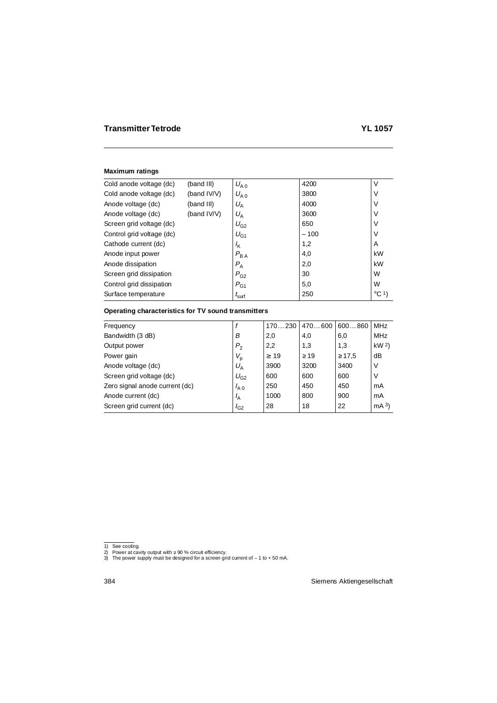## **Maximum ratings**

| Cold anode voltage (dc)   | (band III)  | $U_{A,0}$         | 4200   | V               |
|---------------------------|-------------|-------------------|--------|-----------------|
| Cold anode voltage (dc)   | (band IV/V) | $U_{A,0}$         | 3800   | V               |
| Anode voltage (dc)        | (band III)  | $U_{\rm A}$       | 4000   | V               |
| Anode voltage (dc)        | (band IV/V) | $U_{\rm A}$       | 3600   | V               |
| Screen grid voltage (dc)  |             | $U_{G2}$          | 650    | V               |
| Control grid voltage (dc) |             | $U_{G1}$          | $-100$ | V               |
| Cathode current (dc)      |             | $\frac{1}{K}$     | 1,2    | A               |
| Anode input power         |             | $P_{BA}$          | 4,0    | kW              |
| Anode dissipation         |             | $P_{\rm A}$       | 2,0    | kW              |
| Screen grid dissipation   |             | $P_{G2}$          | 30     | W               |
| Control grid dissipation  |             | $P_{G1}$          | 5,0    | W               |
| Surface temperature       |             | $I_{\text{surf}}$ | 250    | $^{\circ}$ C 1) |

# **Operating characteristics for TV sound transmitters**

| Frequency                      |                | 170230    | 470600    | 600860      | <b>MHz</b>      |
|--------------------------------|----------------|-----------|-----------|-------------|-----------------|
| Bandwidth (3 dB)               | B              | 2,0       | 4,0       | 6,0         | <b>MHz</b>      |
| Output power                   | P <sub>2</sub> | 2,2       | 1,3       | 1,3         | kW <sup>2</sup> |
| Power gain                     | $V_{\rm p}$    | $\geq$ 19 | $\geq$ 19 | $\geq 17.5$ | dB              |
| Anode voltage (dc)             | $U_{\rm A}$    | 3900      | 3200      | 3400        | V               |
| Screen grid voltage (dc)       | $U_{G2}$       | 600       | 600       | 600         | V               |
| Zero signal anode current (dc) | $I_{A,0}$      | 250       | 450       | 450         | mA              |
| Anode current (dc)             | $I_A$          | 1000      | 800       | 900         | mA              |
| Screen grid current (dc)       | $I_{G2}$       | 28        | 18        | 22          | mA <sup>3</sup> |
|                                |                |           |           |             |                 |

<sup>1)</sup> See cooling.

<sup>2)</sup> Power at cavity output with ≥ 90 % circuit efficiency. 3) The power supply must be designed for a screen grid current of – 1 to + 50 mA.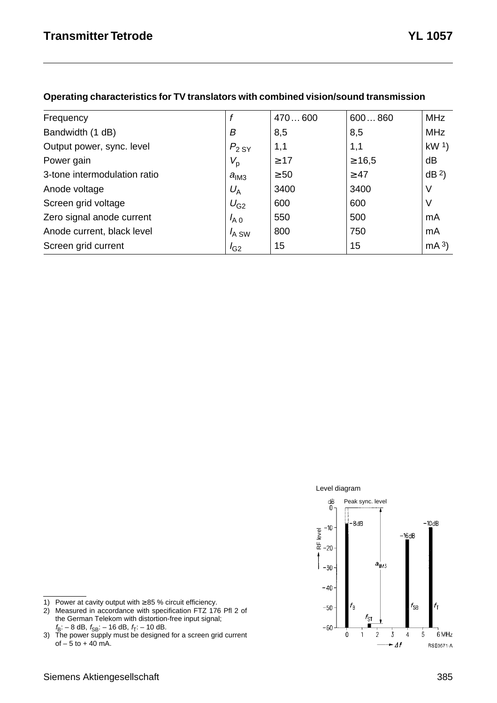| Frequency                    |                  | 470600    | 600860      | <b>MHz</b>      |
|------------------------------|------------------|-----------|-------------|-----------------|
| Bandwidth (1 dB)             | В                | 8,5       | 8,5         | <b>MHz</b>      |
| Output power, sync. level    | $P_{2,SY}$       | 1,1       | 1,1         | kW <sup>1</sup> |
| Power gain                   | $V_{\sf p}$      | $\geq 17$ | $\geq 16.5$ | dB              |
| 3-tone intermodulation ratio | $a_{\text{IM3}}$ | $\geq 50$ | $\geq 47$   | dB <sup>2</sup> |
| Anode voltage                | $U_{\rm A}$      | 3400      | 3400        | V               |
| Screen grid voltage          | $U_{G2}$         | 600       | 600         | ν               |
| Zero signal anode current    | $I_{A,0}$        | 550       | 500         | mA              |
| Anode current, black level   | $I_{A}$ SW       | 800       | 750         | mA              |
| Screen grid current          | $I_{G2}$         | 15        | 15          | mA <sup>3</sup> |

#### **Operating characteristics for TV translators with combined vision/sound transmission**





- 1) Power at cavity output with ≥ 85 % circuit efficiency.
- 2) Measured in accordance with specification FTZ 176 Pfl 2 of the German Telekom with distortion-free input signal;

 $f_{\text{B}}$ : – 8 dB,  $f_{\text{SB}}$ : – 16 dB,  $f_{\text{T}}$ : – 10 dB.<br>3) The power supply must be designed for a screen grid current of  $-5$  to  $+40$  mA.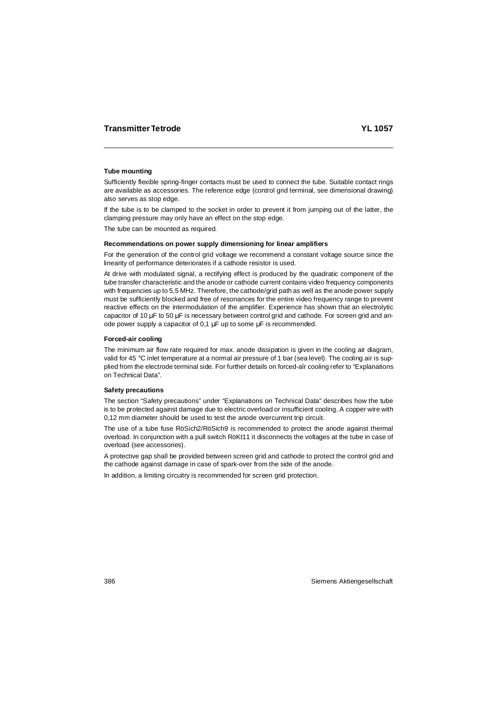# **Tube mounting**

Sufficiently flexible spring-finger contacts must be used to connect the tube. Suitable contact rings are available as accessories. The reference edge (control grid terminal, see dimensional drawing) also serves as stop edge.

If the tube is to be clamped to the socket in order to prevent it from jumping out of the latter, the clamping pressure may only have an effect on the stop edge.

The tube can be mounted as required.

#### **Recommendations on power supply dimensioning for linear amplifiers**

For the generation of the control grid voltage we recommend a constant voltage source since the linearity of performance deteriorates if a cathode resistor is used.

At drive with modulated signal, a rectifying effect is produced by the quadratic component of the tube transfer characteristic and the anode or cathode current contains video frequency components with frequencies up to 5,5 MHz. Therefore, the cathode/grid path as well as the anode power supply must be sufficiently blocked and free of resonances for the entire video frequency range to prevent reactive effects on the intermodulation of the amplifier. Experience has shown that an electrolytic capacitor of 10  $\mu$ F to 50  $\mu$ F is necessary between control grid and cathode. For screen grid and anode power supply a capacitor of 0,1 µF up to some µF is recommended.

## **Forced-air cooling**

The minimum air flow rate required for max. anode dissipation is given in the cooling air diagram, valid for 45 °C inlet temperature at a normal air pressure of 1 bar (sea level). The cooling air is supplied from the electrode terminal side. For further details on forced-alr cooling refer to "Explanations on Technical Data".

## **Safety precautions**

The section "Safety precautions" under "Explanations on Technical Data" describes how the tube is to be protected against damage due to electric overload or insufficient cooling. A copper wire with 0,12 mm diameter should be used to test the anode overcurrent trip circuit.

The use of a tube fuse RöSich2/RöSich9 is recommended to protect the anode against thermal overload. In conjunction with a pull switch RöKt11 it disconnects the voltages at the tube in case of overload (see accessories).

A protective gap shall be provided between screen grid and cathode to protect the control grid and the cathode against damage in case of spark-over from the side of the anode.

In addition, a limiting circuitry is recommended for screen grid protection.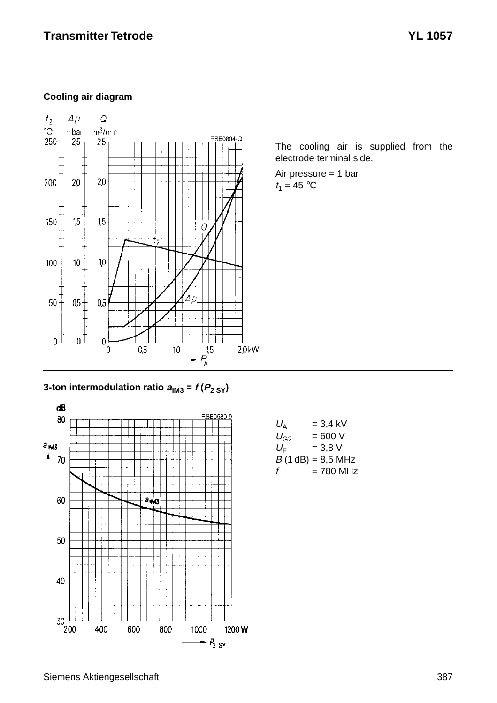# **Cooling air diagram**



The cooling air is supplied from the electrode terminal side.

Air pressure = 1 bar  $t_1 = 45$  °C

**3-ton intermodulation ratio**  $a_{1M3} = f(P_{2SY})$ 



| $U_{\rm A}$ | $= 3.4$ kV          |
|-------------|---------------------|
| $U_{G2}$    | $= 600 V$           |
| $U_{\rm F}$ | $= 3.8 V$           |
|             | $B(1 dB) = 8.5 MHz$ |
| f           | = 780 MHz           |